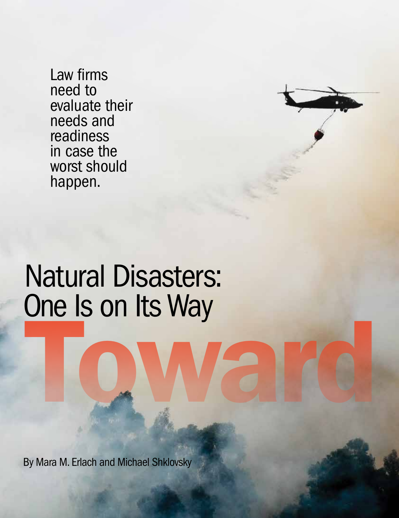Law firms need to evaluate their needs and readiness in case the worst should happen.

# One Is on Its Way Toward Yard Natural Disasters:

By Mara M. Erlach and Michael Shklovsky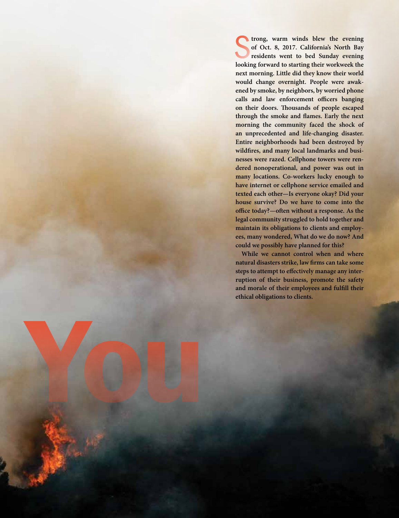**looking forward to starting their workweek the evening looking forward to starting their workweek the trong, warm winds blew the evening of Oct. 8, 2017. California's North Bay residents went to bed Sunday evening next morning. Little did they know their world would change overnight. People were awakened by smoke, by neighbors, by worried phone calls and law enforcement officers banging on their doors. Thousands of people escaped through the smoke and flames. Early the next morning the community faced the shock of an unprecedented and life-changing disaster. Entire neighborhoods had been destroyed by wildfires, and many local landmarks and businesses were razed. Cellphone towers were rendered nonoperational, and power was out in many locations. Co-workers lucky enough to have internet or cellphone service emailed and texted each other—Is everyone okay? Did your house survive? Do we have to come into the office today?—often without a response. As the legal community struggled to hold together and maintain its obligations to clients and employees, many wondered, What do we do now? And could we possibly have planned for this?**

**While we cannot control when and where natural disasters strike, law firms can take some steps to attempt to effectively manage any interruption of their business, promote the safety and morale of their employees and fulfill their ethical obligations to clients.**

Toward You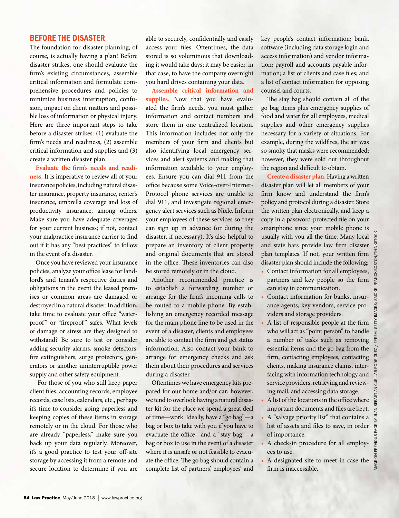# BEFORE THE DISASTER

The foundation for disaster planning, of course, is actually having a plan! Before disaster strikes, one should evaluate the firm's existing circumstances, assemble critical information and formulate comprehensive procedures and policies to minimize business interruption, confusion, impact on client matters and possible loss of information or physical injury. Here are three important steps to take before a disaster strikes: (1) evaluate the firm's needs and readiness, (2) assemble critical information and supplies and (3) create a written disaster plan.

**Evaluate the firm's needs and readiness.** It is imperative to review all of your insurance policies, including natural disaster insurance, property insurance, renter's insurance, umbrella coverage and loss of productivity insurance, among others. Make sure you have adequate coverages for your current business; if not, contact your malpractice insurance carrier to find out if it has any "best practices" to follow in the event of a disaster.

Once you have reviewed your insurance policies, analyze your office lease for landlord's and tenant's respective duties and obligations in the event the leased premises or common areas are damaged or destroyed in a natural disaster. In addition, take time to evaluate your office "waterproof" or "fireproof" safes. What levels of damage or stress are they designed to withstand? Be sure to test or consider adding security alarms, smoke detectors, fire extinguishers, surge protectors, generators or another uninterruptible power supply and other safety equipment.

 For those of you who still keep paper client files, accounting records, employee records, case lists, calendars, etc., perhaps it's time to consider going paperless and keeping copies of these items in storage remotely or in the cloud. For those who are already "paperless," make sure you back up your data regularly. Moreover, it's a good practice to test your off-site storage by accessing it from a remote and secure location to determine if you are

able to securely, confidentially and easily access your files. Oftentimes, the data stored is so voluminous that downloading it would take days; it may be easier, in that case, to have the company overnight you hard drives containing your data.

**Assemble critical information and supplies.** Now that you have evaluated the firm's needs, you must gather information and contact numbers and store them in one centralized location. This information includes not only the members of your firm and clients but also identifying local emergency services and alert systems and making that information available to your employees. Ensure you can dial 911 from the office because some Voice-over-Internet-Protocol phone services are unable to dial 911, and investigate regional emergency alert services such as Nixle. Inform your employees of these services so they can sign up in advance (or during the disaster, if necessary). It's also helpful to prepare an inventory of client property and original documents that are stored in the office. These inventories can also be stored remotely or in the cloud.

Another recommended practice is to establish a forwarding number or arrange for the firm's incoming calls to be routed to a mobile phone. By establishing an emergency recorded message for the main phone line to be used in the event of a disaster, clients and employees are able to contact the firm and get status information. Also contact your bank to arrange for emergency checks and ask them about their procedures and services during a disaster.

Oftentimes we have emergency kits prepared for our home and/or car; however, we tend to overlook having a natural disaster kit for the place we spend a great deal of time—work. Ideally, have a "go bag"—a bag or box to take with you if you have to evacuate the office—and a "stay bag"—a bag or box to use in the event of a disaster where it is unsafe or not feasible to evacuate the office. The go bag should contain a complete list of partners', employees' and key people's contact information; bank, software (including data storage login and access information) and vendor information; payroll and accounts payable information; a list of clients and case files; and a list of contact information for opposing counsel and courts.

The stay bag should contain all of the go bag items plus emergency supplies of food and water for all employees, medical supplies and other emergency supplies necessary for a variety of situations. For example, during the wildfires, the air was so smoky that masks were recommended; however, they were sold out throughout the region and difficult to obtain.

**Create a disaster plan.** Having a written disaster plan will let all members of your firm know and understand the firm's policy and protocol during a disaster. Store the written plan electronically, and keep a copy in a password-protected file on your smartphone since your mobile phone is usually with you all the time. Many local and state bars provide law firm disaster plan templates. If not, your written firm disaster plan should include the following:

- Contact information for all employees, partners and key people so the firm can stay in communication.
- Contact information for banks, insurance agents, key vendors, service providers and storage providers.
- A list of responsible people at the firm who will act as "point person" to handle a number of tasks such as removing essential items and the go bag from the firm, contacting employees, contacting clients, making insurance claims, interfacing with information technology and service providers, retrieving and reviewing mail, and accessing data storage.
- A list of the locations in the office where important documents and files are kept.
- A "salvage priority list" that contains a list of assets and files to save, in order of importance.
- A check-in procedure for all employees to use.
- A designated site to meet in case the firm is inaccessible.